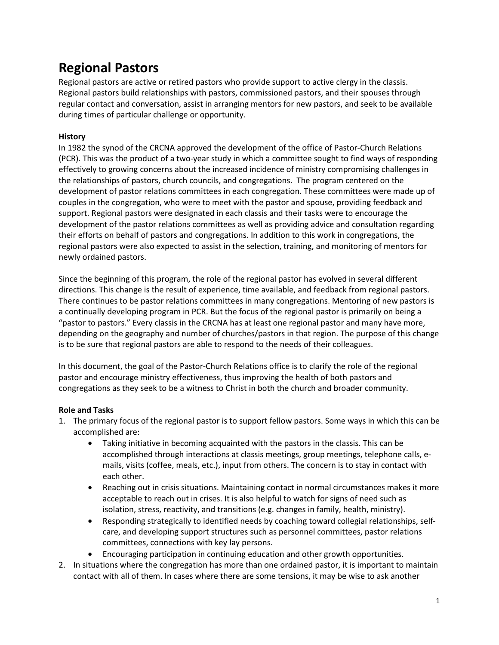# Regional Pastors

Regional pastors are active or retired pastors who provide support to active clergy in the classis. Regional pastors build relationships with pastors, commissioned pastors, and their spouses through regular contact and conversation, assist in arranging mentors for new pastors, and seek to be available during times of particular challenge or opportunity.

### **History**

In 1982 the synod of the CRCNA approved the development of the office of Pastor-Church Relations (PCR). This was the product of a two-year study in which a committee sought to find ways of responding effectively to growing concerns about the increased incidence of ministry compromising challenges in the relationships of pastors, church councils, and congregations. The program centered on the development of pastor relations committees in each congregation. These committees were made up of couples in the congregation, who were to meet with the pastor and spouse, providing feedback and support. Regional pastors were designated in each classis and their tasks were to encourage the development of the pastor relations committees as well as providing advice and consultation regarding their efforts on behalf of pastors and congregations. In addition to this work in congregations, the regional pastors were also expected to assist in the selection, training, and monitoring of mentors for newly ordained pastors.

Since the beginning of this program, the role of the regional pastor has evolved in several different directions. This change is the result of experience, time available, and feedback from regional pastors. There continues to be pastor relations committees in many congregations. Mentoring of new pastors is a continually developing program in PCR. But the focus of the regional pastor is primarily on being a "pastor to pastors." Every classis in the CRCNA has at least one regional pastor and many have more, depending on the geography and number of churches/pastors in that region. The purpose of this change is to be sure that regional pastors are able to respond to the needs of their colleagues.

In this document, the goal of the Pastor-Church Relations office is to clarify the role of the regional pastor and encourage ministry effectiveness, thus improving the health of both pastors and congregations as they seek to be a witness to Christ in both the church and broader community.

#### Role and Tasks

- 1. The primary focus of the regional pastor is to support fellow pastors. Some ways in which this can be accomplished are:
	- Taking initiative in becoming acquainted with the pastors in the classis. This can be accomplished through interactions at classis meetings, group meetings, telephone calls, emails, visits (coffee, meals, etc.), input from others. The concern is to stay in contact with each other.
	- Reaching out in crisis situations. Maintaining contact in normal circumstances makes it more acceptable to reach out in crises. It is also helpful to watch for signs of need such as isolation, stress, reactivity, and transitions (e.g. changes in family, health, ministry).
	- Responding strategically to identified needs by coaching toward collegial relationships, selfcare, and developing support structures such as personnel committees, pastor relations committees, connections with key lay persons.
	- Encouraging participation in continuing education and other growth opportunities.
- 2. In situations where the congregation has more than one ordained pastor, it is important to maintain contact with all of them. In cases where there are some tensions, it may be wise to ask another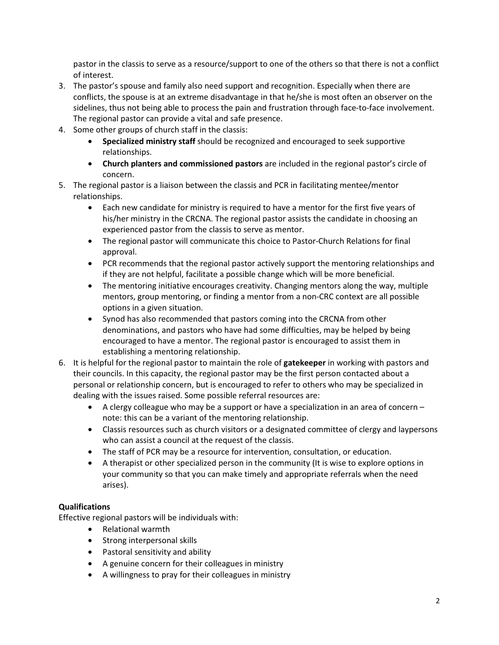pastor in the classis to serve as a resource/support to one of the others so that there is not a conflict of interest.

- 3. The pastor's spouse and family also need support and recognition. Especially when there are conflicts, the spouse is at an extreme disadvantage in that he/she is most often an observer on the sidelines, thus not being able to process the pain and frustration through face-to-face involvement. The regional pastor can provide a vital and safe presence.
- 4. Some other groups of church staff in the classis:
	- Specialized ministry staff should be recognized and encouraged to seek supportive relationships.
	- Church planters and commissioned pastors are included in the regional pastor's circle of concern.
- 5. The regional pastor is a liaison between the classis and PCR in facilitating mentee/mentor relationships.
	- Each new candidate for ministry is required to have a mentor for the first five years of his/her ministry in the CRCNA. The regional pastor assists the candidate in choosing an experienced pastor from the classis to serve as mentor.
	- The regional pastor will communicate this choice to Pastor-Church Relations for final approval.
	- PCR recommends that the regional pastor actively support the mentoring relationships and if they are not helpful, facilitate a possible change which will be more beneficial.
	- The mentoring initiative encourages creativity. Changing mentors along the way, multiple mentors, group mentoring, or finding a mentor from a non-CRC context are all possible options in a given situation.
	- Synod has also recommended that pastors coming into the CRCNA from other denominations, and pastors who have had some difficulties, may be helped by being encouraged to have a mentor. The regional pastor is encouraged to assist them in establishing a mentoring relationship.
- 6. It is helpful for the regional pastor to maintain the role of gatekeeper in working with pastors and their councils. In this capacity, the regional pastor may be the first person contacted about a personal or relationship concern, but is encouraged to refer to others who may be specialized in dealing with the issues raised. Some possible referral resources are:
	- A clergy colleague who may be a support or have a specialization in an area of concern note: this can be a variant of the mentoring relationship.
	- Classis resources such as church visitors or a designated committee of clergy and laypersons who can assist a council at the request of the classis.
	- The staff of PCR may be a resource for intervention, consultation, or education.
	- A therapist or other specialized person in the community (It is wise to explore options in your community so that you can make timely and appropriate referrals when the need arises).

#### Qualifications

Effective regional pastors will be individuals with:

- Relational warmth
- Strong interpersonal skills
- Pastoral sensitivity and ability
- A genuine concern for their colleagues in ministry
- A willingness to pray for their colleagues in ministry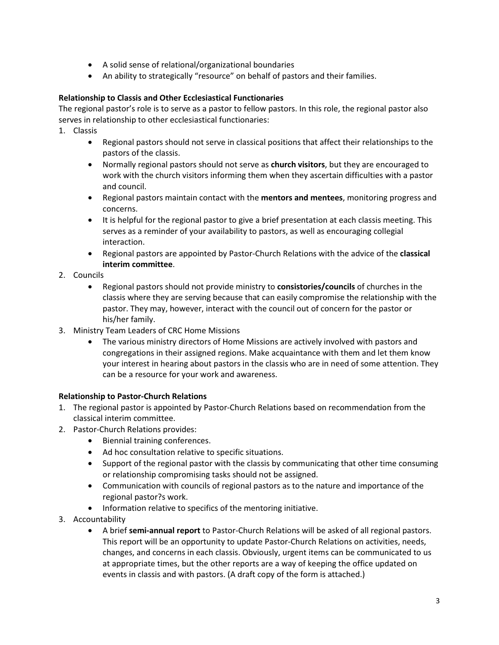- A solid sense of relational/organizational boundaries
- An ability to strategically "resource" on behalf of pastors and their families.

## Relationship to Classis and Other Ecclesiastical Functionaries

The regional pastor's role is to serve as a pastor to fellow pastors. In this role, the regional pastor also serves in relationship to other ecclesiastical functionaries:

- 1. Classis
	- Regional pastors should not serve in classical positions that affect their relationships to the pastors of the classis.
	- Normally regional pastors should not serve as church visitors, but they are encouraged to work with the church visitors informing them when they ascertain difficulties with a pastor and council.
	- Regional pastors maintain contact with the mentors and mentees, monitoring progress and concerns.
	- It is helpful for the regional pastor to give a brief presentation at each classis meeting. This serves as a reminder of your availability to pastors, as well as encouraging collegial interaction.
	- Regional pastors are appointed by Pastor-Church Relations with the advice of the classical interim committee.
- 2. Councils
	- Regional pastors should not provide ministry to consistories/councils of churches in the classis where they are serving because that can easily compromise the relationship with the pastor. They may, however, interact with the council out of concern for the pastor or his/her family.
- 3. Ministry Team Leaders of CRC Home Missions
	- The various ministry directors of Home Missions are actively involved with pastors and congregations in their assigned regions. Make acquaintance with them and let them know your interest in hearing about pastors in the classis who are in need of some attention. They can be a resource for your work and awareness.

## Relationship to Pastor-Church Relations

- 1. The regional pastor is appointed by Pastor-Church Relations based on recommendation from the classical interim committee.
- 2. Pastor-Church Relations provides:
	- Biennial training conferences.
	- Ad hoc consultation relative to specific situations.
	- Support of the regional pastor with the classis by communicating that other time consuming or relationship compromising tasks should not be assigned.
	- Communication with councils of regional pastors as to the nature and importance of the regional pastor?s work.
	- Information relative to specifics of the mentoring initiative.
- 3. Accountability
	- A brief semi-annual report to Pastor-Church Relations will be asked of all regional pastors. This report will be an opportunity to update Pastor-Church Relations on activities, needs, changes, and concerns in each classis. Obviously, urgent items can be communicated to us at appropriate times, but the other reports are a way of keeping the office updated on events in classis and with pastors. (A draft copy of the form is attached.)